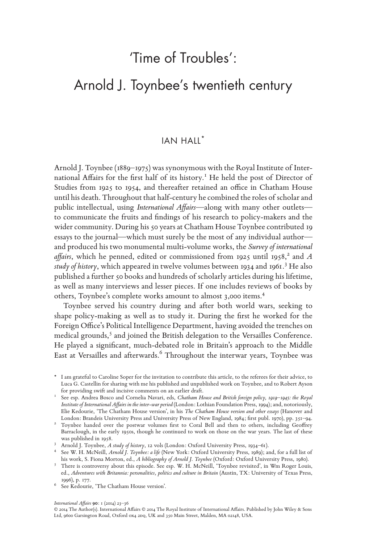# Arnold J. Toynbee's twentieth century

# IAN HALL\*

Arnold J. Toynbee (1889–1975) was synonymous with the Royal Institute of International Affairs for the first half of its history.<sup>1</sup> He held the post of Director of Studies from 1925 to 1954, and thereafter retained an office in Chatham House until his death. Throughout that half-century he combined the roles of scholar and public intellectual, using *International Affairs*—along with many other outlets to communicate the fruits and findings of his research to policy-makers and the wider community. During his 50 years at Chatham House Toynbee contributed 19 essays to the journal—which must surely be the most of any individual author and produced his two monumental multi-volume works, the *Survey of international*  affairs, which he penned, edited or commissioned from 1925 until 1958,<sup>2</sup> and A study of history, which appeared in twelve volumes between 1934 and 1961.<sup>3</sup> He also published a further 50 books and hundreds of scholarly articles during his lifetime, as well as many interviews and lesser pieces. If one includes reviews of books by others, Toynbee's complete works amount to almost 3,000 items.4

Toynbee served his country during and after both world wars, seeking to shape policy-making as well as to study it. During the first he worked for the Foreign Office's Political Intelligence Department, having avoided the trenches on medical grounds,<sup>5</sup> and joined the British delegation to the Versailles Conference. He played a significant, much-debated role in Britain's approach to the Middle East at Versailles and afterwards.<sup>6</sup> Throughout the interwar years, Toynbee was

*International Affairs* **90**: 1 (2014) 23–36

<sup>\*</sup> I am grateful to Caroline Soper for the invitation to contribute this article, to the referees for their advice, to Luca G. Castellin for sharing with me his published and unpublished work on Toynbee, and to Robert Ayson

for providing swift and incisive comments on an earlier draft. <sup>1</sup> See esp. Andrea Bosco and Cornelia Navari, eds, *Chatham House and British foreign policy, 1919–1945: the Royal Institute of International Affairs in the inter-war period* (London: Lothian Foundation Press, 1994); and, notoriously, Elie Kedourie, 'The Chatham House version', in his *The Chatham House version and other essays* (Hanover and

<sup>&</sup>lt;sup>2</sup> Toynbee handed over the postwar volumes first to Coral Bell and then to others, including Geoffrey Barraclough, in the early 1950s, though he continued to work on those on the war years. The last of these was published in 1958.<br><sup>3</sup> Arnold J. Toynbee, *A study of history*, 12 vols (London: Oxford University Press, 1934–61).<br><sup>4</sup> See W. H. McNeill, *Arnold J. Toynbee: a life* (New York: Oxford University Press, 1989); and, for

his work, S. Fiona Morton, ed., *A bibliography of Arnold J. Toynbee* (Oxford: Oxford University Press, 1980). <sup>5</sup> There is controversy about this episode. See esp. W. H. McNeill, 'Toynbee revisited', in Wm Roger Louis,

ed., *Adventures with Britannia: personalities, politics and culture in Britain* (Austin, TX: University of Texas Press, 1996), p. 177. <sup>6</sup> See Kedourie, 'The Chatham House version'.

<sup>© 2014</sup> The Author(s). International Affairs © 2014 The Royal Institute of International Affairs. Published by John Wiley & Sons Ltd, 9600 Garsington Road, Oxford 0x4 2DQ, UK and 350 Main Street, Malden, MA 02148, USA.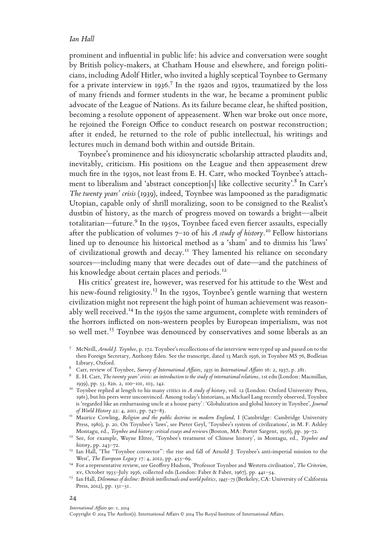prominent and influential in public life: his advice and conversation were sought by British policy-makers, at Chatham House and elsewhere, and foreign politicians, including Adolf Hitler, who invited a highly sceptical Toynbee to Germany for a private interview in 1936.<sup>7</sup> In the 1920s and 1930s, traumatized by the loss of many friends and former students in the war, he became a prominent public advocate of the League of Nations. As its failure became clear, he shifted position, becoming a resolute opponent of appeasement. When war broke out once more, he rejoined the Foreign Office to conduct research on postwar reconstruction; after it ended, he returned to the role of public intellectual, his writings and lectures much in demand both within and outside Britain.

Toynbee's prominence and his idiosyncratic scholarship attracted plaudits and, inevitably, criticism. His positions on the League and then appeasement drew much fire in the 1930s, not least from E. H. Carr, who mocked Toynbee's attachment to liberalism and 'abstract conception[s] like collective security'. $^8$  In Carr's *The twenty years' crisis* (1939), indeed, Toynbee was lampooned as the paradigmatic Utopian, capable only of shrill moralizing, soon to be consigned to the Realist's dustbin of history, as the march of progress moved on towards a bright—albeit totalitarian—future.<sup>9</sup> In the 1950s, Toynbee faced even fiercer assaults, especially after the publication of volumes 7–10 of his *A study of history*. 10 Fellow historians lined up to denounce his historical method as a 'sham' and to dismiss his 'laws' of civilizational growth and decay.<sup>11</sup> They lamented his reliance on secondary sources—including many that were decades out of date—and the patchiness of his knowledge about certain places and periods.<sup>12</sup>

His critics' greatest ire, however, was reserved for his attitude to the West and his new-found religiosity.<sup>13</sup> In the 1930s, Toynbee's gentle warning that western civilization might not represent the high point of human achievement was reasonably well received.<sup>14</sup> In the 1950s the same argument, complete with reminders of the horrors inflicted on non-western peoples by European imperialism, was not so well met.<sup>15</sup> Toynbee was denounced by conservatives and some liberals as an

- <sup>7</sup> McNeill, *Arnold J. Toynbee*, p. 172. Toynbee's recollections of the interview were typed up and passed on to the then Foreign Secretary, Anthony Eden. See the transcript, dated 13 March 1936, in Toynbee MS 76, Bodleian Library, Oxford.<br><sup>8</sup> Carr, review of Toynbee, *Survey of International Affairs, 1935* in *International Affairs* 16: 2, 1937, p. 281.<br><sup>9</sup> E. H. Carr, *The twenty years' crisis: an introduction to the study of international*
- 
- 1939), pp. 53, 82n. 2, 100–101, 103, 142. <sup>10</sup> Toynbee replied at length to his many critics in *A study of history*, vol. 12 (London: Oxford University Press,
- 1961), but his peers were unconvinced. Among today's historians, as Michael Lang recently observed, Toynbee is 'regarded like an embarrassing uncle at a house party': 'Globalization and global history in Toynbee', *Journal*
- <sup>11</sup> Maurice Cowling, *Religion and the public doctrine in modern England*, I (Cambridge: Cambridge University Press, 1980), p. 20. On Toynbee's 'laws', see Pieter Geyl, 'Toynbee's system of civilizations', in M. F. Ashley<br>Montagu, ed., *Toynbee and history: critical essays and reviews* (Boston, MA: Porter Sargent, 1956), pp. 39–72
- <sup>12</sup> See, for example, Wayne Eltree, 'Toynbee's treatment of Chinese history', in Montagu, ed., Toynbee and
- *history*, pp. 243–72.<br><sup>13</sup> Ian Hall, 'The "Toynbee convector": the rise and fall of Arnold J. Toynbee's anti-imperial mission to the West', *The European Legacy* 17: 4, 2012, pp. 455–69. <sup>14</sup> For a representative review, see Geoffrey Hudson, 'Professor Toynbee and Western civilisation', *The Criterion*,
- xv, October 1935–July 1936, collected edn (London: Faber & Faber, 1967), pp. 441–54. <sup>15</sup> Ian Hall, *Dilemmas of decline: British intellectuals and world politics, 1945–75* (Berkeley, CA: University of California
- Press, 2012), pp. 131–51.

### 24

### *International Affairs* 90: 1, 2014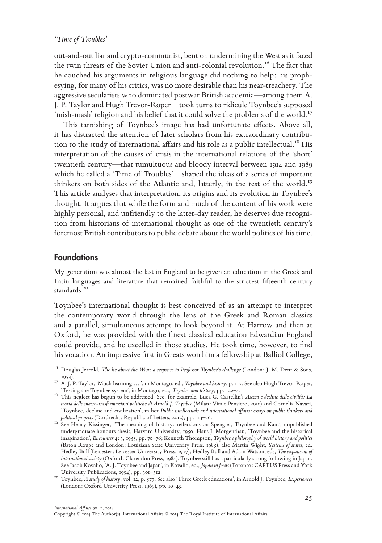out-and-out liar and crypto-communist, bent on undermining the West as it faced the twin threats of the Soviet Union and anti-colonial revolution.<sup>16</sup> The fact that he couched his arguments in religious language did nothing to help: his prophesying, for many of his critics, was no more desirable than his near-treachery. The aggressive secularists who dominated postwar British academia—among them A. J. P. Taylor and Hugh Trevor-Roper—took turns to ridicule Toynbee's supposed 'mish-mash' religion and his belief that it could solve the problems of the world.<sup>17</sup>

This tarnishing of Toynbee's image has had unfortunate effects. Above all, it has distracted the attention of later scholars from his extraordinary contribution to the study of international affairs and his role as a public intellectual.<sup>18</sup> His interpretation of the causes of crisis in the international relations of the 'short' twentieth century—that tumultuous and bloody interval between 1914 and 1989 which he called a 'Time of Troubles'—shaped the ideas of a series of important thinkers on both sides of the Atlantic and, latterly, in the rest of the world.<sup>19</sup> This article analyses that interpretation, its origins and its evolution in Toynbee's thought. It argues that while the form and much of the content of his work were highly personal, and unfriendly to the latter-day reader, he deserves due recognition from historians of international thought as one of the twentieth century's foremost British contributors to public debate about the world politics of his time.

# **Foundations**

My generation was almost the last in England to be given an education in the Greek and Latin languages and literature that remained faithful to the strictest fifteenth century standards.<sup>20</sup>

Toynbee's international thought is best conceived of as an attempt to interpret the contemporary world through the lens of the Greek and Roman classics and a parallel, simultaneous attempt to look beyond it. At Harrow and then at Oxford, he was provided with the finest classical education Edwardian England could provide, and he excelled in those studies. He took time, however, to find his vocation. An impressive first in Greats won him a fellowship at Balliol College,

<sup>16</sup> Douglas Jerrold, *The lie about the West: a response to Professor Toynbee's challenge* (London: J. M. Dent & Sons,

<sup>1954). 1954). 1954). 1954). 1954). 1954). 1954).</sup> ISBN 0-8-1706. 1954. 1976. ISBN 0-8-1708-0-1-17 A. J. P. Taylor, 'Much learning … ', in Montagu, ed., *Toynbee and history*, p. 117. See also Hugh Trevor-Roper, 'Testing the

<sup>&</sup>lt;sup>18</sup> This neglect has begun to be addressed. See, for example, Luca G. Castellin's *Ascesa e decline delle civiltà: La teoria delle macro-trasformazioni politiche di Arnold J. Toynbee* (Milan: Vita e Pensiero, 2010) and Cornelia Navari, 'Toynbee, decline and civilization', in her *Public intellectuals and international affairs: essays on public thinkers and* 

*political projects* (Dordrecht: Republic of Letters, 2012), pp. 113–36. <sup>19</sup> See Henry Kissinger, 'The meaning of history: reflections on Spengler, Toynbee and Kant', unpublished undergraduate honours thesis, Harvard University, 1950; Hans J. Morgenthau, 'Toynbee and the historical imagination', *Encounter* 4: 3, 1955, pp. 70–76; Kenneth Thompson, *Toynbee's philosophy of world history and politics* (Baton Rouge and London: Louisiana State University Press, 1985); also Martin Wight, *Systems of states*, ed. Hedley Bull (Leicester: Leicester University Press, 1977); Hedley Bull and Adam Watson, eds, *The expansion of international society* (Oxford: Clarendon Press, 1984). Toynbee still has a particularly strong following in Japan. See Jacob Kovalio, 'A. J. Toynbee and Japan', in Kovalio, ed., *Japan in focus* (Toronto: CAPTUS Press and York University Publications, 1994), pp. 301–312. <sup>20</sup> Toynbee, *A study of history*, vol. 12, p. 577. See also 'Three Greek educations', in Arnold J. Toynbee, *Experiences*

<sup>(</sup>London: Oxford University Press, 1969), pp. 10–45.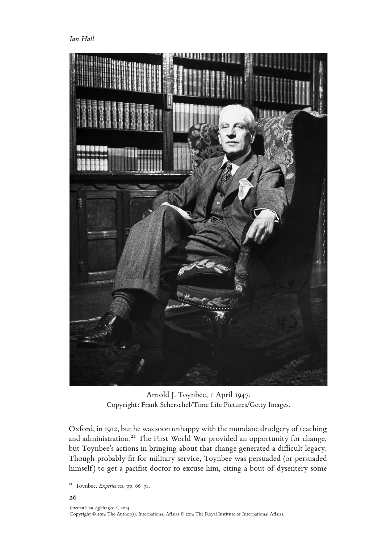*Ian Hall*



Arnold J. Toynbee, 1 April 1947. Copyright: Frank Scherschel/Time Life Pictures/Getty Images.

Oxford, in 1912, but he was soon unhappy with the mundane drudgery of teaching and administration.<sup>21</sup> The First World War provided an opportunity for change, but Toynbee's actions in bringing about that change generated a difficult legacy. Though probably fit for military service, Toynbee was persuaded (or persuaded himself) to get a pacifist doctor to excuse him, citing a bout of dysentery some

<sup>21</sup> Toynbee, *Experiences*, pp. 66–71.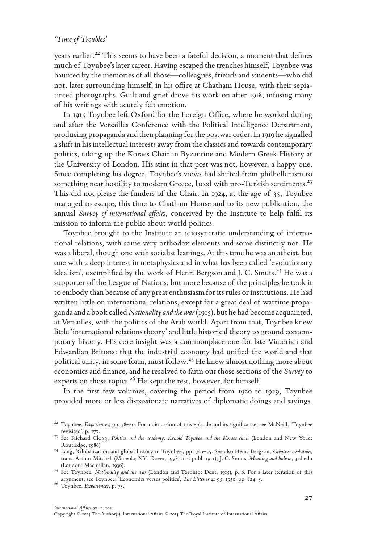years earlier.<sup>22</sup> This seems to have been a fateful decision, a moment that defines much of Toynbee's later career. Having escaped the trenches himself, Toynbee was haunted by the memories of all those—colleagues, friends and students—who did not, later surrounding himself, in his office at Chatham House, with their sepiatinted photographs. Guilt and grief drove his work on after 1918, infusing many of his writings with acutely felt emotion.

In 1915 Toynbee left Oxford for the Foreign Office, where he worked during and after the Versailles Conference with the Political Intelligence Department, producing propaganda and then planning for the postwar order. In 1919 he signalled a shift in his intellectual interests away from the classics and towards contemporary politics, taking up the Koraes Chair in Byzantine and Modern Greek History at the University of London. His stint in that post was not, however, a happy one. Since completing his degree, Toynbee's views had shifted from philhellenism to something near hostility to modern Greece, laced with pro-Turkish sentiments.<sup>23</sup> This did not please the funders of the Chair. In 1924, at the age of 35, Toynbee managed to escape, this time to Chatham House and to its new publication, the annual *Survey of international affairs*, conceived by the Institute to help fulfil its mission to inform the public about world politics.

Toynbee brought to the Institute an idiosyncratic understanding of international relations, with some very orthodox elements and some distinctly not. He was a liberal, though one with socialist leanings. At this time he was an atheist, but one with a deep interest in metaphysics and in what has been called 'evolutionary idealism', exemplified by the work of Henri Bergson and J. C. Smuts.<sup>24</sup> He was a supporter of the League of Nations, but more because of the principles he took it to embody than because of any great enthusiasm for its rules or institutions. He had written little on international relations, except for a great deal of wartime propaganda and a book called *Nationality and the war* (1915), but he had become acquainted, at Versailles, with the politics of the Arab world. Apart from that, Toynbee knew little 'international relations theory' and little historical theory to ground contemporary history. His core insight was a commonplace one for late Victorian and Edwardian Britons: that the industrial economy had unified the world and that political unity, in some form, must follow.<sup>25</sup> He knew almost nothing more about economics and finance, and he resolved to farm out those sections of the *Survey* to experts on those topics.<sup>26</sup> He kept the rest, however, for himself.

In the first few volumes, covering the period from 1920 to 1929, Toynbee provided more or less dispassionate narratives of diplomatic doings and sayings.

<sup>&</sup>lt;sup>22</sup> Toynbee, *Experiences*, pp. 38-40. For a discussion of this episode and its significance, see McNeill, 'Toynbee revisited', p. 177. <sup>23</sup> See Richard Clogg, *Politics and the academy: Arnold Toynbee and the Koraes chair* (London and New York:

Routledge, 1986). <sup>24</sup> Lang, 'Globalization and global history in Toynbee', pp. 750–55. See also Henri Bergson, *Creative evolution*,

trans. Arthur Mitchell (Mineola, NY: Dover, 1998; first publ. 1911); J. C. Smuts, *Meaning and holism*, 3rd edn (London: Macmillan, 1936). <sup>25</sup> See Toynbee, *Nationality and the war* (London and Toronto: Dent, 1915), p. 6. For a later iteration of this

argument, see Toynbee, 'Economics versus politics', *The Listener* 4: 95, 1930, pp. 824–5. <sup>26</sup> Toynbee, *Experiences*, p. 75.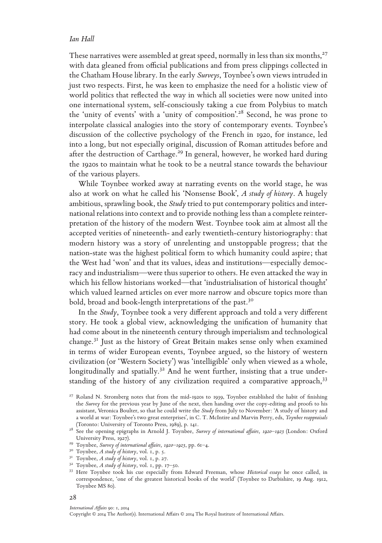These narratives were assembled at great speed, normally in less than six months,  $27$ with data gleaned from official publications and from press clippings collected in the Chatham House library. In the early *Surveys*, Toynbee's own views intruded in just two respects. First, he was keen to emphasize the need for a holistic view of world politics that reflected the way in which all societies were now united into one international system, self-consciously taking a cue from Polybius to match the 'unity of events' with a 'unity of composition'.28 Second, he was prone to interpolate classical analogies into the story of contemporary events. Toynbee's discussion of the collective psychology of the French in 1920, for instance, led into a long, but not especially original, discussion of Roman attitudes before and after the destruction of Carthage.<sup>29</sup> In general, however, he worked hard during the 1920s to maintain what he took to be a neutral stance towards the behaviour of the various players.

While Toynbee worked away at narrating events on the world stage, he was also at work on what he called his 'Nonsense Book', *A study of history*. A hugely ambitious, sprawling book, the *Study* tried to put contemporary politics and international relations into context and to provide nothing less than a complete reinterpretation of the history of the modern West. Toynbee took aim at almost all the accepted verities of nineteenth- and early twentieth-century historiography: that modern history was a story of unrelenting and unstoppable progress; that the nation-state was the highest political form to which humanity could aspire; that the West had 'won' and that its values, ideas and institutions—especially democracy and industrialism—were thus superior to others. He even attacked the way in which his fellow historians worked—that 'industrialisation of historical thought' which valued learned articles on ever more narrow and obscure topics more than bold, broad and book-length interpretations of the past.<sup>30</sup>

In the *Study*, Toynbee took a very different approach and told a very different story. He took a global view, acknowledging the unification of humanity that had come about in the nineteenth century through imperialism and technological change.31 Just as the history of Great Britain makes sense only when examined in terms of wider European events, Toynbee argued, so the history of western civilization (or 'Western Society') was 'intelligible' only when viewed as a whole, longitudinally and spatially.<sup>32</sup> And he went further, insisting that a true understanding of the history of any civilization required a comparative approach,<sup>33</sup>

# 28

#### *International Affairs* 90: 1, 2014

<sup>&</sup>lt;sup>27</sup> Roland N. Stromberg notes that from the mid-1920s to 1939, Toynbee established the habit of finishing the *Survey* for the previous year by June of the next, then handing over the copy-editing and proofs to his assistant, Veronica Boulter, so that he could write the *Study* from July to November: 'A study of history and a world at war: Toynbee's two great enterprises', in C. T. McIntire and Marvin Perry, eds, *Toynbee reappraisals*

<sup>(</sup>Toronto: University of Toronto Press, 1989), p. 141. <sup>28</sup> See the opening epigraphs in Arnold J. Toynbee, *Survey of international affairs, 1920–1923* (London: Oxford

<sup>&</sup>lt;sup>29</sup> Toynbee, *Survey of international affairs, 1920–1923*, pp. 61–4.<br><sup>30</sup> Toynbee, *A study of history*, vol. 1, p. 5.<br><sup>31</sup> Toynbee, *A study of history*, vol. 1, p. 27.<br><sup>32</sup> Toynbee, *A study of history*, vol. 1, pp. 17 correspondence, 'one of the greatest historical books of the world' (Toynbee to Darbishire, 19 Aug. 1912, Toynbee MS 80).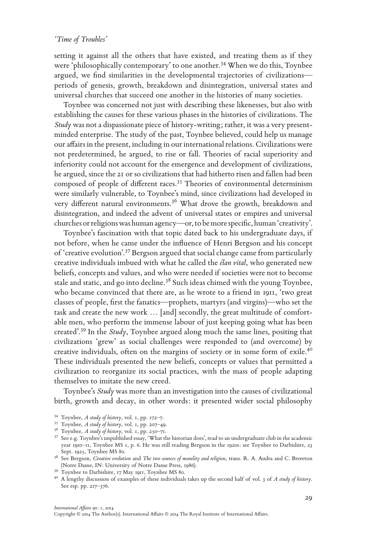setting it against all the others that have existed, and treating them as if they were 'philosophically contemporary' to one another.<sup>34</sup> When we do this, Toynbee argued, we find similarities in the developmental trajectories of civilizations periods of genesis, growth, breakdown and disintegration, universal states and universal churches that succeed one another in the histories of many societies.

Toynbee was concerned not just with describing these likenesses, but also with establishing the causes for these various phases in the histories of civilizations. The *Study* was not a dispassionate piece of history-writing; rather, it was a very presentminded enterprise. The study of the past, Toynbee believed, could help us manage our affairs in the present, including in our international relations. Civilizations were not predetermined, he argued, to rise or fall. Theories of racial superiority and inferiority could not account for the emergence and development of civilizations, he argued, since the 21 or so civilizations that had hitherto risen and fallen had been composed of people of different races.35 Theories of environmental determinism were similarly vulnerable, to Toynbee's mind, since civilizations had developed in very different natural environments.<sup>36</sup> What drove the growth, breakdown and disintegration, and indeed the advent of universal states or empires and universal churches or religions was human agency—or, to be more specific, human 'creativity'.

Toynbee's fascination with that topic dated back to his undergraduate days, if not before, when he came under the influence of Henri Bergson and his concept of 'creative evolution'.37 Bergson argued that social change came from particularly creative individuals imbued with what he called the *élan vital*, who generated new beliefs, concepts and values, and who were needed if societies were not to become stale and static, and go into decline.38 Such ideas chimed with the young Toynbee, who became convinced that there are, as he wrote to a friend in 1911, 'two great classes of people, first the fanatics—prophets, martyrs (and virgins)—who set the task and create the new work … [and] secondly, the great multitude of comfortable men, who perform the immense labour of just keeping going what has been created'.39 In the *Study*, Toynbee argued along much the same lines, positing that civilizations 'grew' as social challenges were responded to (and overcome) by creative individuals, often on the margins of society or in some form of exile.40 These individuals presented the new beliefs, concepts or values that permitted a civilization to reorganize its social practices, with the mass of people adapting themselves to imitate the new creed.

Toynbee's *Study* was more than an investigation into the causes of civilizational birth, growth and decay, in other words: it presented wider social philosophy

<sup>&</sup>lt;sup>34</sup> Toynbee, *A study of history*, vol. 1, pp. 172–7.<br><sup>35</sup> Toynbee, *A study of history*, vol. 1, pp. 207–49.<br><sup>36</sup> Toynbee, *A study of history*, vol. 1, pp. 250–71.<br><sup>37</sup> See e.g. Toynbee's unpublished essay, 'What the h year 1910–11, Toynbee MS 1, p. 6. He was still reading Bergson in the 1920s: see Toynbee to Darbishire, 23

Sept. 1925, Toynbee MS 80.<br><sup>38</sup> See Bergson, *Creative evolution* and *The two sources of morality and religion*, trans. R. A. Audra and C. Brereton<br>(Notre Dame, IN: University of Notre Dame Press, 1986).

<sup>&</sup>lt;sup>39</sup> Toynbee to Darbishire, 17 May 1911, Toynbee MS 80.<br><sup>40</sup> A lengthy discussion of examples of these individuals takes up the second half of vol. 3 of A study of history. See esp. pp. 217–376.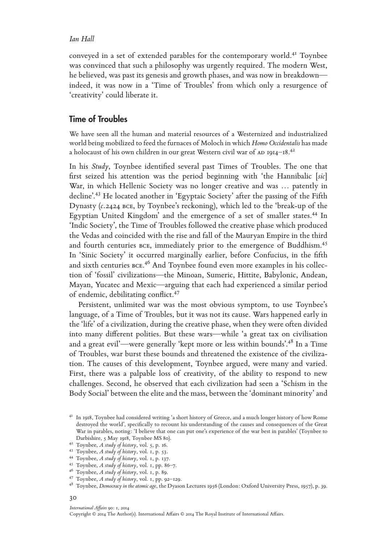conveyed in a set of extended parables for the contemporary world.41 Toynbee was convinced that such a philosophy was urgently required. The modern West, he believed, was past its genesis and growth phases, and was now in breakdown indeed, it was now in a 'Time of Troubles' from which only a resurgence of 'creativity' could liberate it.

# Time of Troubles

We have seen all the human and material resources of a Westernized and industrialized world being mobilized to feed the furnaces of Moloch in which *Homo Occidentalis* has made a holocaust of his own children in our great Western civil war of  $AD$  1914–18.<sup>42</sup>

In his *Study*, Toynbee identified several past Times of Troubles. The one that first seized his attention was the period beginning with 'the Hannibalic [*sic*] War, in which Hellenic Society was no longer creative and was ... patently in decline'.43 He located another in 'Egyptaic Society' after the passing of the Fifth Dynasty (*c.*2424 bce, by Toynbee's reckoning), which led to the 'break-up of the Egyptian United Kingdom' and the emergence of a set of smaller states.<sup>44</sup> In 'Indic Society', the Time of Troubles followed the creative phase which produced the Vedas and coincided with the rise and fall of the Mauryan Empire in the third and fourth centuries BCE, immediately prior to the emergence of Buddhism.<sup>45</sup> In 'Sinic Society' it occurred marginally earlier, before Confucius, in the fifth and sixth centuries bce. 46 And Toynbee found even more examples in his collection of 'fossil' civilizations—the Minoan, Sumeric, Hittite, Babylonic, Andean, Mayan, Yucatec and Mexic—arguing that each had experienced a similar period of endemic, debilitating conflict.47

Persistent, unlimited war was the most obvious symptom, to use Toynbee's language, of a Time of Troubles, but it was not its cause. Wars happened early in the 'life' of a civilization, during the creative phase, when they were often divided into many different polities. But these wars—while 'a great tax on civilisation and a great evil'—were generally 'kept more or less within bounds'.48 In a Time of Troubles, war burst these bounds and threatened the existence of the civilization. The causes of this development, Toynbee argued, were many and varied. First, there was a palpable loss of creativity, of the ability to respond to new challenges. Second, he observed that each civilization had seen a 'Schism in the Body Social' between the elite and the mass, between the 'dominant minority' and

### *International Affairs* 90: 1, 2014

<sup>&</sup>lt;sup>41</sup> In 1918, Toynbee had considered writing 'a short history of Greece, and a much longer history of how Rome destroyed the world', specifically to recount his understanding of the causes and consequences of the Great War in parables, noting: 'I believe that one can put one's experience of the war best in parables' (Toynbee to Darbishire, 5 May 1918, Toynbee MS 80).

<sup>&</sup>lt;sup>42</sup> Toynbee, *A study of history*, vol. 5, p. 16.<br><sup>43</sup> Toynbee, *A study of history*, vol. 1, p. 53.<br><sup>44</sup> Toynbee, *A study of history*, vol. 1, p. 137.<br><sup>45</sup> Toynbee, *A study of history*, vol. 1, pp. 86–7.<br><sup>46</sup> Toynbee,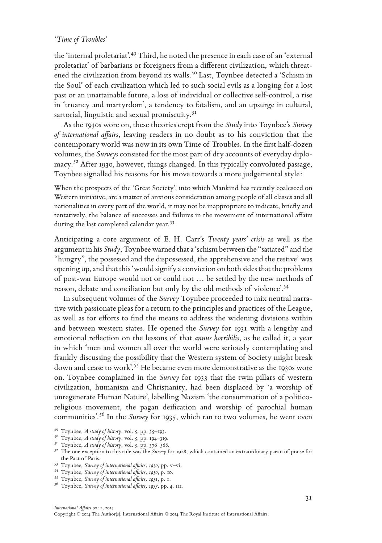the 'internal proletariat'.49 Third, he noted the presence in each case of an 'external proletariat' of barbarians or foreigners from a different civilization, which threatened the civilization from beyond its walls.<sup>50</sup> Last, Toynbee detected a 'Schism in the Soul' of each civilization which led to such social evils as a longing for a lost past or an unattainable future, a loss of individual or collective self-control, a rise in 'truancy and martyrdom', a tendency to fatalism, and an upsurge in cultural, sartorial, linguistic and sexual promiscuity.<sup>51</sup>

As the 1930s wore on, these theories crept from the *Study* into Toynbee's *Survey of international affairs*, leaving readers in no doubt as to his conviction that the contemporary world was now in its own Time of Troubles. In the first half-dozen volumes, the *Surveys* consisted for the most part of dry accounts of everyday diplomacy.52 After 1930, however, things changed. In this typically convoluted passage, Toynbee signalled his reasons for his move towards a more judgemental style:

When the prospects of the 'Great Society', into which Mankind has recently coalesced on Western initiative, are a matter of anxious consideration among people of all classes and all nationalities in every part of the world, it may not be inappropriate to indicate, briefly and tentatively, the balance of successes and failures in the movement of international affairs during the last completed calendar year.<sup>53</sup>

Anticipating a core argument of E. H. Carr's *Twenty years' crisis* as well as the argument in his *Study*, Toynbee warned that a 'schism between the "satiated" and the "hungry", the possessed and the dispossessed, the apprehensive and the restive' was opening up, and that this 'would signify a conviction on both sides that the problems of post-war Europe would not or could not … be settled by the new methods of reason, debate and conciliation but only by the old methods of violence'.54

In subsequent volumes of the *Survey* Toynbee proceeded to mix neutral narrative with passionate pleas for a return to the principles and practices of the League, as well as for efforts to find the means to address the widening divisions within and between western states. He opened the *Survey* for 1931 with a lengthy and emotional reflection on the lessons of that *annus horribilis*, as he called it, a year in which 'men and women all over the world were seriously contemplating and frankly discussing the possibility that the Western system of Society might break down and cease to work'.<sup>55</sup> He became even more demonstrative as the 1930s wore on. Toynbee complained in the *Survey* for 1933 that the twin pillars of western civilization, humanism and Christianity, had been displaced by 'a worship of unregenerate Human Nature', labelling Nazism 'the consummation of a politicoreligious movement, the pagan deification and worship of parochial human communities'.56 In the *Survey* for 1935, which ran to two volumes, he went even

<sup>&</sup>lt;sup>49</sup> Toynbee, *A study of history*, vol. 5, pp. 35–193.<br><sup>50</sup> Toynbee, *A study of history*, vol. 5, pp. 194–319.<br><sup>51</sup> Toynbee, *A study of history*, vol. 5, pp. 376–568.<br><sup>52</sup> The one exception to this rule was the *Survey* 

<sup>&</sup>lt;sup>53</sup> Toynbee, *Survey of international affairs*, 1930, pp. v-vi.<br><sup>54</sup> Toynbee, *Survey of international affairs*, 1930, p. 10.<br><sup>55</sup> Toynbee, *Survey of international affairs*, 1931, p. 1.<br><sup>56</sup> Toynbee, *Survey of internat*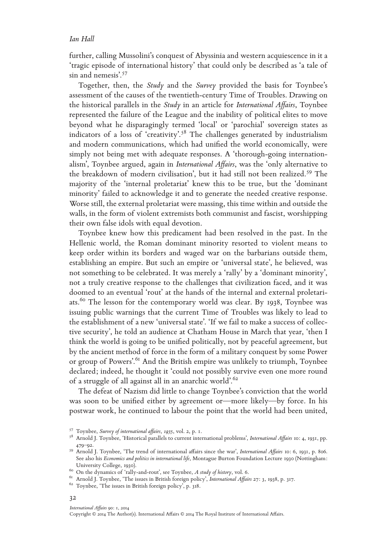further, calling Mussolini's conquest of Abyssinia and western acquiescence in it a 'tragic episode of international history' that could only be described as 'a tale of sin and nemesis'.<sup>57</sup>

Together, then, the *Study* and the *Survey* provided the basis for Toynbee's assessment of the causes of the twentieth-century Time of Troubles. Drawing on the historical parallels in the *Study* in an article for *International Affairs*, Toynbee represented the failure of the League and the inability of political elites to move beyond what he disparagingly termed 'local' or 'parochial' sovereign states as indicators of a loss of 'creativity'.58 The challenges generated by industrialism and modern communications, which had unified the world economically, were simply not being met with adequate responses. A 'thorough-going internationalism', Toynbee argued, again in *International Affairs*, was the 'only alternative to the breakdown of modern civilisation', but it had still not been realized.<sup>59</sup> The majority of the 'internal proletariat' knew this to be true, but the 'dominant minority' failed to acknowledge it and to generate the needed creative response. Worse still, the external proletariat were massing, this time within and outside the walls, in the form of violent extremists both communist and fascist, worshipping their own false idols with equal devotion.

Toynbee knew how this predicament had been resolved in the past. In the Hellenic world, the Roman dominant minority resorted to violent means to keep order within its borders and waged war on the barbarians outside them, establishing an empire. But such an empire or 'universal state', he believed, was not something to be celebrated. It was merely a 'rally' by a 'dominant minority', not a truly creative response to the challenges that civilization faced, and it was doomed to an eventual 'rout' at the hands of the internal and external proletariats.<sup>60</sup> The lesson for the contemporary world was clear. By 1938, Toynbee was issuing public warnings that the current Time of Troubles was likely to lead to the establishment of a new 'universal state'. 'If we fail to make a success of collective security', he told an audience at Chatham House in March that year, 'then I think the world is going to be unified politically, not by peaceful agreement, but by the ancient method of force in the form of a military conquest by some Power or group of Powers'.<sup>61</sup> And the British empire was unlikely to triumph, Toynbee declared; indeed, he thought it 'could not possibly survive even one more round of a struggle of all against all in an anarchic world'.<sup>62</sup>

The defeat of Nazism did little to change Toynbee's conviction that the world was soon to be unified either by agreement or—more likely—by force. In his postwar work, he continued to labour the point that the world had been united,

### 32

<sup>57</sup> Toynbee, *Survey of international affairs, 1935*, vol. 2, p. 1. 58 Arnold J. Toynbee, 'Historical parallels to current international problems', *International Affairs* 10: 4, 1931, pp. 479–92. <sup>59</sup> Arnold J. Toynbee, 'The trend of international affairs since the war', *International Affairs* 10: 6, 1931, p. 806.

See also his *Economics and politics in international life*, Montague Burton Foundation Lecture 1930 (Nottingham: University College, 1930).<br>
<sup>60</sup> On the dynamics of 'rally-and-rout', see Toynbee, A study of history, vol. 6.<br>
<sup>61</sup> Arnold J. Toynbee, 'The issues in British foreign policy', *International Affairs* 27: 3, 1938, p. 317.<br>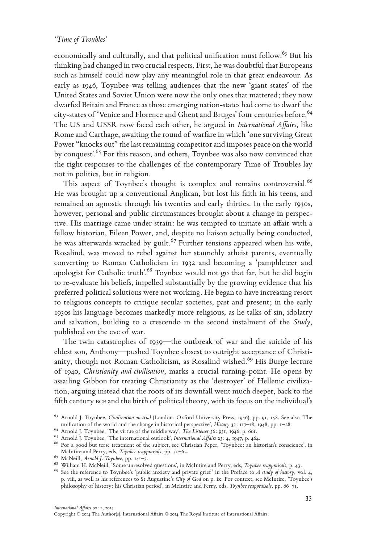economically and culturally, and that political unification must follow.<sup>63</sup> But his thinking had changed in two crucial respects. First, he was doubtful that Europeans such as himself could now play any meaningful role in that great endeavour. As early as 1946, Toynbee was telling audiences that the new 'giant states' of the United States and Soviet Union were now the only ones that mattered; they now dwarfed Britain and France as those emerging nation-states had come to dwarf the city-states of 'Venice and Florence and Ghent and Bruges' four centuries before.<sup>64</sup> The US and USSR now faced each other, he argued in *International Affairs*, like Rome and Carthage, awaiting the round of warfare in which 'one surviving Great Power "knocks out" the last remaining competitor and imposes peace on the world by conquest'.<sup>65</sup> For this reason, and others, Toynbee was also now convinced that the right responses to the challenges of the contemporary Time of Troubles lay not in politics, but in religion.

This aspect of Toynbee's thought is complex and remains controversial.<sup>66</sup> He was brought up a conventional Anglican, but lost his faith in his teens, and remained an agnostic through his twenties and early thirties. In the early 1930s, however, personal and public circumstances brought about a change in perspective. His marriage came under strain: he was tempted to initiate an affair with a fellow historian, Eileen Power, and, despite no liaison actually being conducted, he was afterwards wracked by guilt.<sup>67</sup> Further tensions appeared when his wife, Rosalind, was moved to rebel against her staunchly atheist parents, eventually converting to Roman Catholicism in 1932 and becoming a 'pamphleteer and apologist for Catholic truth'.68 Toynbee would not go that far, but he did begin to re-evaluate his beliefs, impelled substantially by the growing evidence that his preferred political solutions were not working. He began to have increasing resort to religious concepts to critique secular societies, past and present; in the early 1930s his language becomes markedly more religious, as he talks of sin, idolatry and salvation, building to a crescendo in the second instalment of the *Study*, published on the eve of war.

The twin catastrophes of 1939—the outbreak of war and the suicide of his eldest son, Anthony—pushed Toynbee closest to outright acceptance of Christianity, though not Roman Catholicism, as Rosalind wished.<sup>69</sup> His Burge lecture of 1940, *Christianity and civilisation*, marks a crucial turning-point. He opens by assailing Gibbon for treating Christianity as the 'destroyer' of Hellenic civilization, arguing instead that the roots of its downfall went much deeper, back to the fifth century bce and the birth of political theory, with its focus on the individual's

<sup>63</sup> Arnold J. Toynbee, *Civilization on trial* (London: Oxford University Press, 1946), pp. 91, 158. See also 'The

<sup>44</sup> Arnold J. Toynbee, 'The virtue of the middle way', The Listener 36: 931, 1946, p. 661.<br>
<sup>64</sup> Arnold J. Toynbee, 'The virtue of the middle way', The Listener 36: 931, 1946, p. 661.<br>
<sup>65</sup> Arnold J. Toynbee, 'The internati

<sup>&</sup>lt;sup>67</sup> McNeill, *Arnold J. Toynbee*, pp. 141-3.<br><sup>68</sup> William H. McNeill, 'Some unresolved questions', in McIntire and Perry, eds, *Toynbee reappraisals*, p. 43.<br><sup>69</sup> See the reference to Toynbee's 'public anxiety and private p. viii, as well as his references to St Augustine's *City of God* on p. ix. For context, see McIntire, 'Toynbee's philosophy of history: his Christian period', in McIntire and Perry, eds, *Toynbee reappraisals*, pp. 66–71.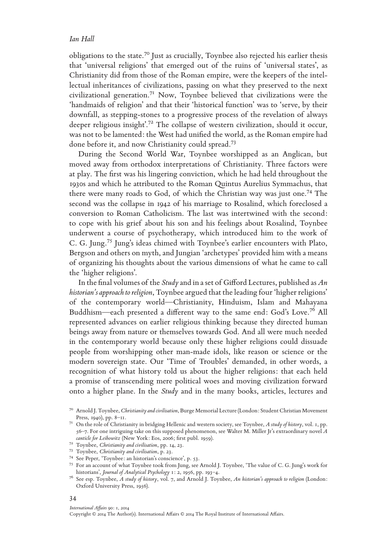obligations to the state.70 Just as crucially, Toynbee also rejected his earlier thesis that 'universal religions' that emerged out of the ruins of 'universal states', as Christianity did from those of the Roman empire, were the keepers of the intellectual inheritances of civilizations, passing on what they preserved to the next civilizational generation.71 Now, Toynbee believed that civilizations were the 'handmaids of religion' and that their 'historical function' was to 'serve, by their downfall, as stepping-stones to a progressive process of the revelation of always deeper religious insight'.<sup>72</sup> The collapse of western civilization, should it occur, was not to be lamented: the West had unified the world, as the Roman empire had done before it, and now Christianity could spread.73

During the Second World War, Toynbee worshipped as an Anglican, but moved away from orthodox interpretations of Christianity. Three factors were at play. The first was his lingering conviction, which he had held throughout the 1930s and which he attributed to the Roman Quintus Aurelius Symmachus, that there were many roads to God, of which the Christian way was just one.74 The second was the collapse in 1942 of his marriage to Rosalind, which foreclosed a conversion to Roman Catholicism. The last was intertwined with the second: to cope with his grief about his son and his feelings about Rosalind, Toynbee underwent a course of psychotherapy, which introduced him to the work of C. G. Jung.75 Jung's ideas chimed with Toynbee's earlier encounters with Plato, Bergson and others on myth, and Jungian 'archetypes' provided him with a means of organizing his thoughts about the various dimensions of what he came to call the 'higher religions'.

In the final volumes of the *Study* and in a set of Gifford Lectures, published as *An historian's approach to religion*, Toynbee argued that the leading four 'higher religions' of the contemporary world—Christianity, Hinduism, Islam and Mahayana Buddhism—each presented a different way to the same end: God's Love.76 All represented advances on earlier religious thinking because they directed human beings away from nature or themselves towards God. And all were much needed in the contemporary world because only these higher religions could dissuade people from worshipping other man-made idols, like reason or science or the modern sovereign state. Our 'Time of Troubles' demanded, in other words, a recognition of what history told us about the higher religions: that each held a promise of transcending mere political woes and moving civilization forward onto a higher plane. In the *Study* and in the many books, articles, lectures and

### 34

### *International Affairs* 90: 1, 2014

<sup>70</sup> Arnold J. Toynbee, *Christianity and civilisation*, Burge Memorial Lecture (London: Student Christian Movement Press, 1940), pp. 8–11. <sup>71</sup> On the role of Christianity in bridging Hellenic and western society, see Toynbee, *A study of history*, vol. 1, pp.

<sup>56–7.</sup> For one intriguing take on this supposed phenomenon, see Walter M. Miller Jr's extraordinary novel *A* 

<sup>&</sup>lt;sup>72</sup> Toynbee, *Christianity and civilisation*, pp. 14, 23.<br><sup>73</sup> Toynbee, *Christianity and civilisation*, p. 23.<br><sup>74</sup> See Peper, "Toynbee: an historian's conscience', p. 53.<br><sup>75</sup> For an account of what Toynbee took from J historians', *Journal of Analytical Psychology* 1: 2, 1956, pp. 193–4. <sup>76</sup> See esp. Toynbee, *A study of history*, vol. 7, and Arnold J. Toynbee, *An historian's approach to religion* (London:

Oxford University Press, 1956).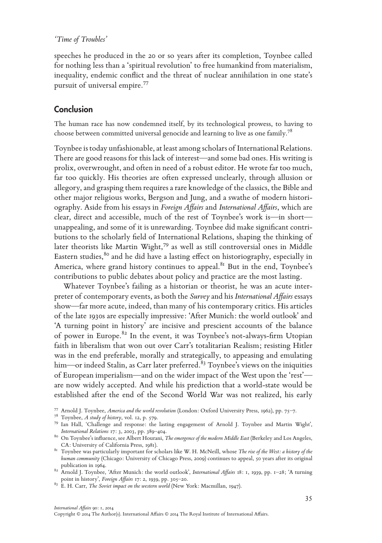speeches he produced in the 20 or so years after its completion, Toynbee called for nothing less than a 'spiritual revolution' to free humankind from materialism, inequality, endemic conflict and the threat of nuclear annihilation in one state's pursuit of universal empire.77

# Conclusion

The human race has now condemned itself, by its technological prowess, to having to choose between committed universal genocide and learning to live as one family.78

Toynbee is today unfashionable, at least among scholars of International Relations. There are good reasons for this lack of interest—and some bad ones. His writing is prolix, overwrought, and often in need of a robust editor. He wrote far too much, far too quickly. His theories are often expressed unclearly, through allusion or allegory, and grasping them requires a rare knowledge of the classics, the Bible and other major religious works, Bergson and Jung, and a swathe of modern historiography. Aside from his essays in *Foreign Affairs* and *International Affairs*, which are clear, direct and accessible, much of the rest of Toynbee's work is—in short unappealing, and some of it is unrewarding. Toynbee did make significant contributions to the scholarly field of International Relations, shaping the thinking of later theorists like Martin Wight,79 as well as still controversial ones in Middle Eastern studies, $80$  and he did have a lasting effect on historiography, especially in America, where grand history continues to appeal.<sup>81</sup> But in the end, Toynbee's contributions to public debates about policy and practice are the most lasting.

Whatever Toynbee's failing as a historian or theorist, he was an acute interpreter of contemporary events, as both the *Survey* and his *International Affairs* essays show—far more acute, indeed, than many of his contemporary critics. His articles of the late 1930s are especially impressive: 'After Munich: the world outlook' and 'A turning point in history' are incisive and prescient accounts of the balance of power in Europe. $82$  In the event, it was Toynbee's not-always-firm Utopian faith in liberalism that won out over Carr's totalitarian Realism; resisting Hitler was in the end preferable, morally and strategically, to appeasing and emulating him—or indeed Stalin, as Carr later preferred. $83$  Toynbee's views on the iniquities of European imperialism—and on the wider impact of the West upon the 'rest' are now widely accepted. And while his prediction that a world-state would be established after the end of the Second World War was not realized, his early

<sup>&</sup>lt;sup>77</sup> Arnold J. Toynbee, *America and the world revolution* (London: Oxford University Press, 1962), pp. 75–7.<br><sup>78</sup> Toynbee, *A study of history*, vol. 12, p. 579.<br><sup>79</sup> Ian Hall, 'Challenge and response: the lasting engage

<sup>&</sup>lt;sup>80</sup> On Toynbee's influence, see Albert Hourani, *The emergence of the modern Middle East* (Berkeley and Los Angeles, CA: University of California Press, 1981). <sup>81</sup> Toynbee was particularly important for scholars like W. H. McNeill, whose *The rise of the West: a history of the* 

*human community* (Chicago: University of Chicago Press, 2009) continues to appeal, 50 years after its original publication in 1964.

publication in 1964. <sup>82</sup> Arnold J. Toynbee, 'After Munich: the world outlook', *International Affairs* 18: 1, 1939, pp. 1–28; 'A turning point in history', *Foreign Affairs* 17: 2, 1939, pp. 305–20. <sup>83</sup> E. H. Carr, *The Soviet impact on the western world* (New York: Macmillan, 1947).